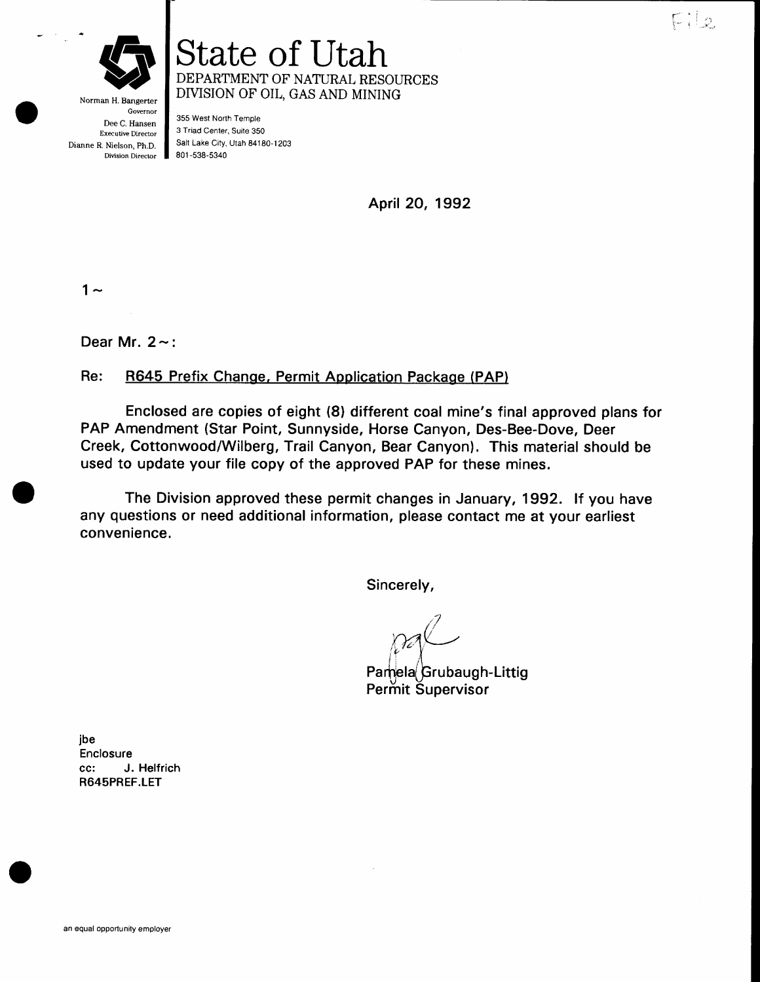

Norman H. Bangerter Governor Dee C. Hansen Executive Director Dianne R. Nielson, Ph.D. Division Director

State of Utah DEPARTMENT OF NATURAL RESOURCES DIVISION OF OIL, GAS AND MINING

355 West North Temple 3 Triad Center, Suite 350 Salt Lake City, Utah 84180-1203 801 -538-5340

April 20, 1992

 $1 -$ 

Dear Mr.  $2 \sim$ :

## Re: R645 Prefix Change, Permit Application Package (PAP)

Enclosed are copies of eight (81 different coal mine's final approved plans for PAP Amendment (Star Point, Sunnyside, Horse Canyon, Des-Bee-Dove, Deer Creek, Cottonwood/Wilberg, Trail Canyon, Bear Canyon). This material should be used to update your file copy of the approved PAP for these mines.

The Division approved these permit changes in January, 1992. lf you have any questions or need additional information, please contact me at your earliest convenience.

Sincerely,

n'?  $\gamma$ al  $\mathcal{C} \subset \mathcal{X}$ 

Pamela Grubaugh-Littig Permit Supervisor

jbe Enclosure cc: J. Helfrich R645PREF.LET